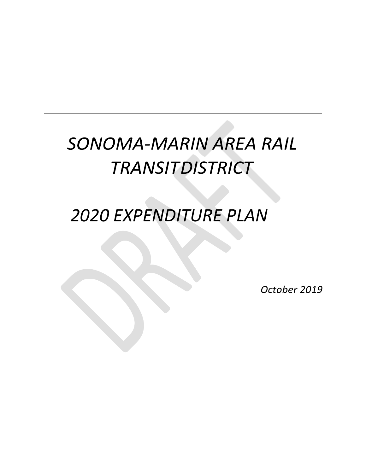# SONOMA-MARIN AREA RAIL **TRANSITDISTRICT**

# *2020 EXPENDITURE PLAN*

*October 2019*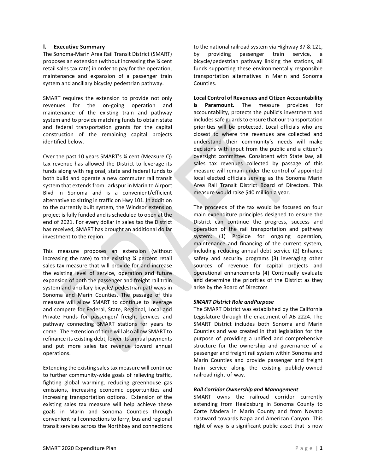# **I. Executive Summary**

The Sonoma-Marin Area Rail Transit District (SMART) proposes an extension (without increasing the ¼ cent retail sales tax rate) in order to pay for the operation, maintenance and expansion of a passenger train system and ancillary bicycle/ pedestrian pathway.

SMART requires the extension to provide not only revenues for the on-going operation and maintenance of the existing train and pathway system and to provide matching funds to obtain state and federal transportation grants for the capital construction of the remaining capital projects identified below.

Over the past 10 years SMART's ¼ cent (Measure Q) tax revenue has allowed the District to leverage its funds along with regional, state and federal funds to both build and operate a new commuter rail transit system that extends from Larkspur in Marin to Airport Blvd in Sonoma and is a convenient/efficient alternative to sitting in traffic on Hwy 101. In addition to the currently built system, the Windsor extension project is fully funded and is scheduled to open at the end of 2021. For every dollar in sales tax the District has received, SMART has brought an additional dollar investment to the region.

This measure proposes an extension (without increasing the rate) to the existing ¼ percent retail sales tax measure that will provide for and increase the existing level of service, operation and future expansion of both the passenger and freight rail train system and ancillary bicycle/ pedestrian pathways in Sonoma and Marin Counties. The passage of this measure will allow SMART to continue to leverage and compete for Federal, State, Regional, Local and Private Funds for passenger/ freight services and pathway connecting SMART stations for years to come. The extension of time will also allow SMART to refinance its existing debt, lower its annual payments and put more sales tax revenue toward annual operations.

Extending the existing sales tax measure will continue to further community-wide goals of relieving traffic, fighting global warming, reducing greenhouse gas emissions, increasing economic opportunities and increasing transportation options. Extension of the existing sales tax measure will help achieve these goals in Marin and Sonoma Counties through convenient rail connections to ferry, bus and regional transit services across the Northbay and connections

to the national railroad system via Highway 37 & 121, by providing passenger train service, a bicycle/pedestrian pathway linking the stations, all funds supporting these environmentally responsible transportation alternatives in Marin and Sonoma Counties.

**Local Control of Revenues and Citizen Accountability is Paramount.** The measure provides for accountability, protects the public's investment and includes safe guards to ensure that our transportation priorities will be protected. Local officials who are closest to where the revenues are collected and understand their community's needs will make decisions with input from the public and a citizen's oversight committee. Consistent with State law, all sales tax revenues collected by passage of this measure will remain under the control of appointed local elected officials serving as the Sonoma Marin Area Rail Transit District Board of Directors. This measure would raise \$40 million a year.

The proceeds of the tax would be focused on four main expenditure principles designed to ensure the District can continue the progress, success and operation of the rail transportation and pathway system: (1) Provide for ongoing operation, maintenance and financing of the current system, including reducing annual debt service (2) Enhance safety and security programs (3) leveraging other sources of revenue for capital projects and operational enhancements (4) Continually evaluate and determine the priorities of the District as they arise by the Board of Directors

# *SMART District Role andPurpose*

The SMART District was established by the California Legislature through the enactment of AB 2224. The SMART District includes both Sonoma and Marin Counties and was created in that legislation for the purpose of providing a unified and comprehensive structure for the ownership and governance of a passenger and freight rail system within Sonoma and Marin Counties and provide passenger and freight train service along the existing publicly-owned railroad right-of-way.

#### *Rail Corridor Ownership and Management*

SMART owns the railroad corridor currently extending from Healdsburg in Sonoma County to Corte Madera in Marin County and from Novato eastward towards Napa and American Canyon. This right-of-way is a significant public asset that is now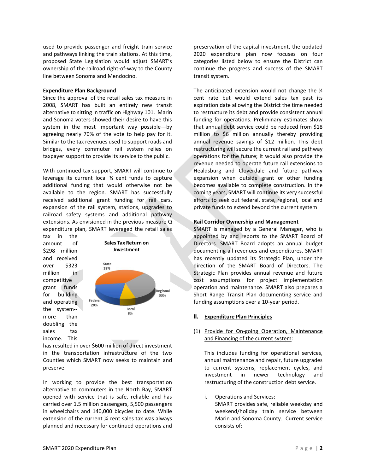used to provide passenger and freight train service and pathways linking the train stations. At this time, proposed State Legislation would adjust SMART's ownership of the railroad right-of-way to the County line between Sonoma and Mendocino.

#### **Expenditure Plan Background**

Since the approval of the retail sales tax measure in 2008, SMART has built an entirely new transit alternative to sitting in traffic on Highway 101. Marin and Sonoma voters showed their desire to have this system in the most important way possible—by agreeing nearly 70% of the vote to help pay for it. Similar to the tax revenues used to support roads and bridges, every commuter rail system relies on taxpayer support to provide its service to the public.

With continued tax support, SMART will continue to leverage its current local ¼ cent funds to capture additional funding that would otherwise not be available to the region. SMART has successfully received additional grant funding for rail cars, expansion of the rail system, stations, upgrades to railroad safety systems and additional pathway extensions. As envisioned in the previous measure Q expenditure plan, SMART leveraged the retail sales



has resulted in over \$600 million of direct investment in the transportation infrastructure of the two Counties which SMART now seeks to maintain and preserve.

In working to provide the best transportation alternative to commuters in the North Bay, SMART opened with service that is safe, reliable and has carried over 1.5 million passengers, 5,500 passengers in wheelchairs and 140,000 bicycles to date. While extension of the current ¼ cent sales tax was always planned and necessary for continued operations and preservation of the capital investment, the updated 2020 expenditure plan now focuses on four categories listed below to ensure the District can continue the progress and success of the SMART transit system.

The anticipated extension would not change the  $\frac{1}{4}$ cent rate but would extend sales tax past its expiration date allowing the District the time needed to restructure its debt and provide consistent annual funding for operations. Preliminary estimates show that annual debt service could be reduced from \$18 million to \$6 million annually thereby providing annual revenue savings of \$12 million. This debt restructuring will secure the current rail and pathway operations for the future; it would also provide the revenue needed to operate future rail extensions to Healdsburg and Cloverdale and future pathway expansion when outside grant or other funding becomes available to complete construction. In the coming years, SMART will continue its very successful efforts to seek out federal, state, regional, local and private funds to extend beyond the current system

#### **Rail Corridor Ownership and Management**

SMART is managed by a General Manager, who is appointed by and reports to the SMART Board of Directors. SMART Board adopts an annual budget documenting all revenues and expenditures. SMART has recently updated its Strategic Plan, under the direction of the SMART Board of Directors. The Strategic Plan provides annual revenue and future cost assumptions for project implementation operation and maintenance. SMART also prepares a Short Range Transit Plan documenting service and funding assumptions over a 10-year period.

#### **II. Expenditure Plan Principles**

# (1) Provide for On-going Operation, Maintenance and Financing of the current system:

This includes funding for operational services, annual maintenance and repair, future upgrades to current systems, replacement cycles, and investment in newer technology and restructuring of the construction debt service.

i. Operations and Services: SMART provides safe, reliable weekday and weekend/holiday train service between Marin and Sonoma County. Current service consists of: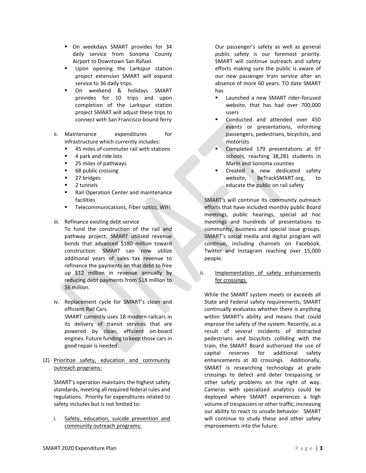- On weekdays SMART provides for 34 daily service from Sonoma County Airport to Downtown San Rafael.
- **■** Upon opening the Larkspur station project extension SMART will expand service to 36 daily trips.
- On weekend & holidays SMART provides for 10 trips and upon completion of the Larkspur station project SMART will adjust these trips to connect with San Francisco-bound ferry
- ii. Maintenance expenditures for infrastructure which currently includes:
	- 45 miles of commuter rail with stations
	- 4 park and ride lots
	- 25 miles of pathways
	- 68 public crossing
	- 27 bridges
	- 2 tunnels
	- **Rail Operation Center and maintenance** facilities
	- **E** Telecommunications, Fiber optics, WiFi
- iii. Refinance existing debt service

To fund the construction of the rail and pathway project, SMART utilized revenue bonds that advanced \$180 million toward construction. SMART can now utilize additional years of sales tax revenue to refinance the payments on that debt to free up \$12 million in revenue annually by reducing debt payments from \$18 million to \$6 million.

- iv. Replacement cycle for SMART's clean and efficient Rail Cars. SMART currently uses 18 modern railcars in its delivery of transit services that are powered by clean, efficient on-board engines. Future funding to keep those cars in good repair is needed.
- (2) Prioritize safety, education and community outreach programs:

SMART's operation maintains the highest safety standards, meeting all required federal rules and regulations. Priority for expenditures related to safety includes but is not limited to:

i. Safety, education, suicide prevention and community outreach programs:

Our passenger's safety as well as general public safety is our foremost priority. SMART will continue outreach and safety efforts making sure the public is aware of our new passenger train service after an absence of more 60 years. TO date SMART has

- Launched a new SMART rider-focused website, that has had over 700,000 users
- Conducted and attended over 450 events or presentations, informing passengers, pedestrians, bicyclists, and motorists
- Completed 179 presentations at 97 schools, reaching 38,281 students in Marin and Sonoma counties
- Created a new dedicated safety website, BeTrackSMART.org, to educate the public on rail safety

SMART's will continue its community outreach efforts that have included monthly public Board meetings, public hearings, special ad hoc meetings and hundreds of presentations to community, business and special issue groups. SMART's social media and digital program will continue, including channels on Facebook, Twitter and Instagram reaching over 15,000 people.

ii. Implementation of safety enhancements for crossings.

While the SMART system meets or exceeds all State and Federal safety requirements, SMART continually evaluates whether there is anything within SMART's ability and means that could improve the safety of the system. Recently, as a result of several incidents of distracted pedestrians and bicyclists colliding with the train, the SMART Board authorized the use of capital reserves for additional safety enhancements at 30 crossings. Additionally, SMART is researching technology at grade crossings to detect and deter trespassing or other safety problems on the right of way. Cameras with specialized analytics could be deployed where SMART experiences a high volume of trespassers or other traffic, increasing our ability to react to unsafe behavior. SMART will continue to study these and other safety improvements into the future.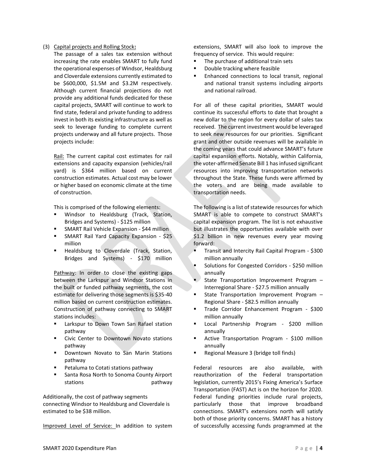#### (3) Capital projects and Rolling Stock**:**

The passage of a sales tax extension without increasing the rate enables SMART to fully fund the operational expenses of Windsor, Healdsburg and Cloverdale extensions currently estimated to be \$600,000, \$1.5M and \$3.2M respectively. Although current financial projections do not provide any additional funds dedicated for these capital projects, SMART will continue to work to find state, federal and private funding to address invest in both its existing infrastructure as well as seek to leverage funding to complete current projects underway and all future projects. Those projects include:

Rail: The current capital cost estimates for rail extensions and capacity expansion (vehicles/rail yard) is \$364 million based on current construction estimates. Actual cost may be lower or higher based on economic climate at the time of construction.

This is comprised of the following elements:

- Windsor to Healdsburg (Track, Station, Bridges and Systems) - \$125 million
- SMART Rail Vehicle Expansion \$44 million
- **EXECTART Rail Yard Capacity Expansion \$25** million
- Healdsburg to Cloverdale (Track, Station, Bridges and Systems) - \$170 million

Pathway: In order to close the existing gaps between the Larkspur and Windsor Stations in the built or funded pathway segments, the cost estimate for delivering those segments is \$35-40 million based on current construction estimates. Construction of pathway connecting to SMART stations includes:

- Larkspur to Down Town San Rafael station pathway
- Civic Center to Downtown Novato stations pathway
- Downtown Novato to San Marin Stations pathway
- Petaluma to Cotati stations pathway
- Santa Rosa North to Sonoma County Airport stations **pathway**

Additionally, the cost of pathway segments connecting Windsor to Healdsburg and Cloverdale is estimated to be \$38 million.

Improved Level of Service: In addition to system

extensions, SMART will also look to improve the frequency of service. This would require:

- The purchase of additional train sets
- Double tracking where feasible
- Enhanced connections to local transit, regional and national transit systems including airports and national railroad.

For all of these capital priorities, SMART would continue its successful efforts to date that brought a new dollar to the region for every dollar of sales tax received. The current investment would be leveraged to seek new resources for our priorities. Significant grant and other outside revenues will be available in the coming years that could advance SMART's future capital expansion efforts. Notably, within California, the voter-affirmed Senate Bill 1 has infused significant resources into improving transportation networks throughout the State. These funds were affirmed by the voters and are being made available to transportation needs.

The following is a list of statewide resources for which SMART is able to compete to construct SMART's capital expansion program. The list is not exhaustive but illustrates the opportunities available with over \$1.2 billion in new revenues every year moving forward:

- **EXECUTE:** Transit and Intercity Rail Capital Program \$300 million annually
- Solutions for Congested Corridors \$250 million annually
- State Transportation Improvement Program -Interregional Share - \$27.5 million annually
- State Transportation Improvement Program Regional Share - \$82.5 million annually
- Trade Corridor Enhancement Program \$300 million annually
- Local Partnership Program \$200 million annually
- Active Transportation Program \$100 million annually
- Regional Measure 3 (bridge toll finds)

Federal resources are also available, with reauthorization of the Federal transportation legislation, currently 2015's Fixing America's Surface Transportation (FAST) Act is on the horizon for 2020. Federal funding priorities include rural projects, particularly those that improve broadband connections. SMART's extensions north will satisfy both of those priority concerns. SMART has a history of successfully accessing funds programmed at the